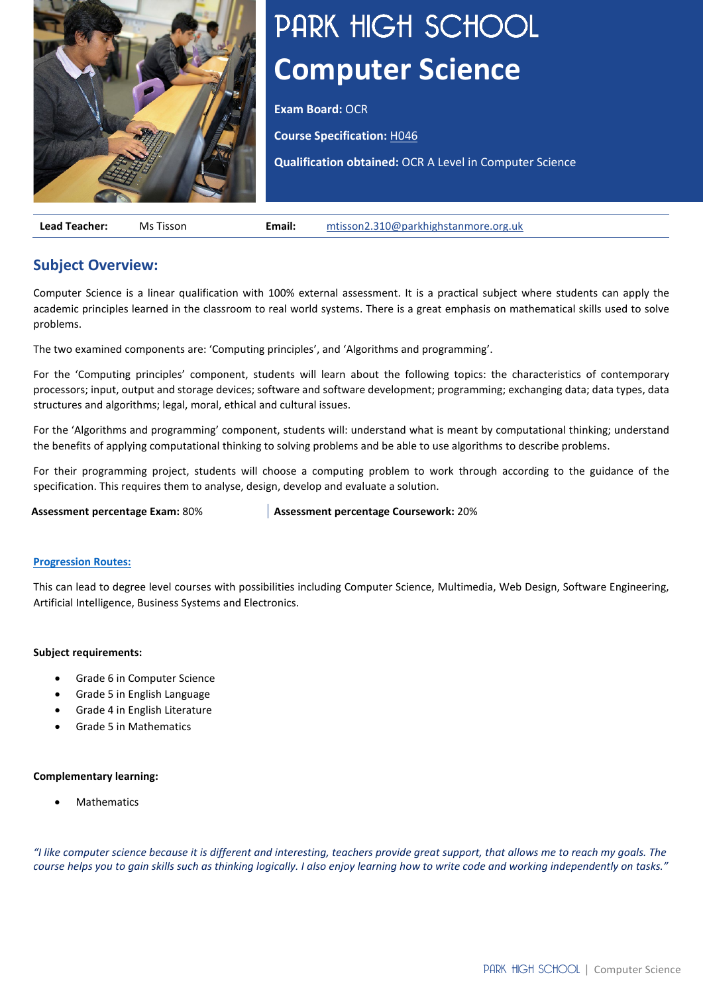

# PARK HIGH SCHOOL **Computer Science**

**Exam Board:** OCR

• **Course Specification:** [H046](https://ocr.org.uk/Images/170845-specification-accredited-as-level-gce-computer-science-h046.pdf)

**Qualification obtained:** OCR A Level in Computer Science

**Lead Teacher:** Ms Tisson **Email:** [mtisson2.310@parkhighstanmore.org.uk](mailto:mtisson2.310@parkhighstanmore.org.uk)

## **Subject Overview:**

Computer Science is a linear qualification with 100% external assessment. It is a practical subject where students can apply the academic principles learned in the classroom to real world systems. There is a great emphasis on mathematical skills used to solve problems.

The two examined components are: 'Computing principles', and 'Algorithms and programming'.

For the 'Computing principles' component, students will learn about the following topics: the characteristics of contemporary processors; input, output and storage devices; software and software development; programming; exchanging data; data types, data structures and algorithms; legal, moral, ethical and cultural issues.

For the 'Algorithms and programming' component, students will: understand what is meant by computational thinking; understand the benefits of applying computational thinking to solving problems and be able to use algorithms to describe problems.

For their programming project, students will choose a computing problem to work through according to the guidance of the specification. This requires them to analyse, design, develop and evaluate a solution.

**Assessment percentage Exam:** 80% **Assessment percentage Coursework:** 20%

#### **[Progression Routes:](https://www.parkhighstanmore.org.uk/careersandemploaybility/studentresources)**

This can lead to degree level courses with possibilities including Computer Science, Multimedia, Web Design, Software Engineering, Artificial Intelligence, Business Systems and Electronics.

#### **Subject requirements:**

- Grade 6 in Computer Science
- Grade 5 in English Language
- Grade 4 in English Literature
- Grade 5 in Mathematics

#### **Complementary learning:**

**Mathematics** 

"I like computer science because it is different and interesting, teachers provide great support, that allows me to reach my goals. The course helps you to gain skills such as thinking logically. I also enjoy learning how to write code and working independently on tasks."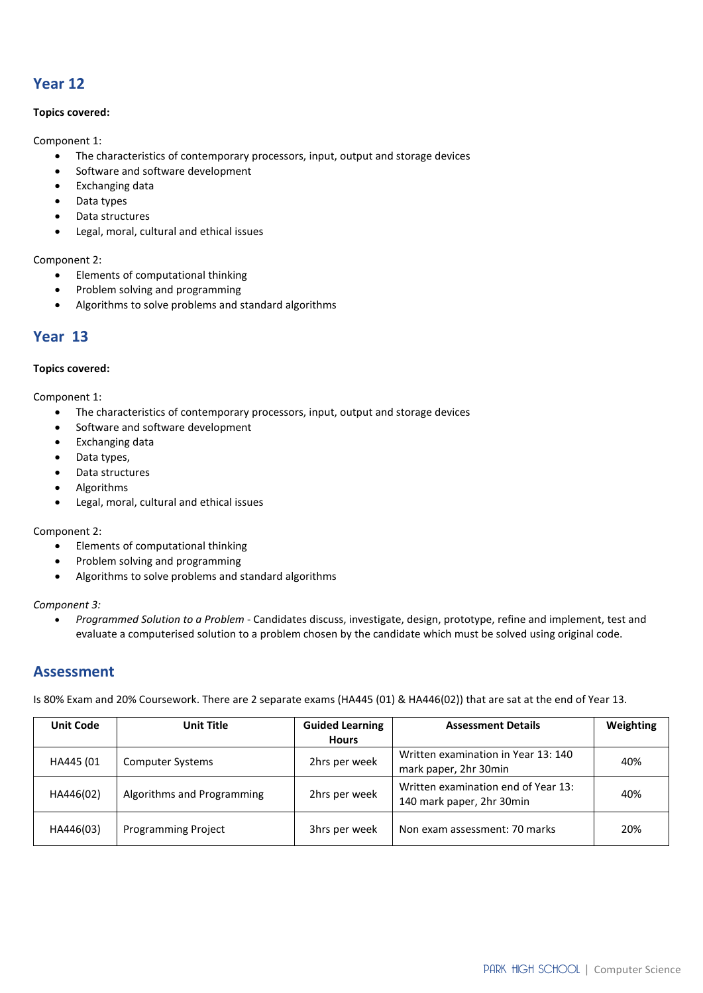## **Year 12**

#### **Topics covered:**

Component 1:

- The characteristics of contemporary processors, input, output and storage devices
- Software and software development
- Exchanging data
- Data types
- Data structures
- Legal, moral, cultural and ethical issues

#### Component 2:

- Elements of computational thinking
- Problem solving and programming
- Algorithms to solve problems and standard algorithms

## **Year 13**

#### **Topics covered:**

Component 1:

- The characteristics of contemporary processors, input, output and storage devices
- Software and software development
- Exchanging data
- Data types,
- Data structures
- Algorithms
- Legal, moral, cultural and ethical issues

Component 2:

- Elements of computational thinking
- Problem solving and programming
- Algorithms to solve problems and standard algorithms

#### *Component 3:*

• *Programmed Solution to a Problem* - Candidates discuss, investigate, design, prototype, refine and implement, test and evaluate a computerised solution to a problem chosen by the candidate which must be solved using original code.

### **Assessment**

Is 80% Exam and 20% Coursework. There are 2 separate exams (HA445 (01) & HA446(02)) that are sat at the end of Year 13.

| <b>Unit Code</b> | Unit Title                 | <b>Guided Learning</b><br><b>Hours</b> | <b>Assessment Details</b>                                        | Weighting |
|------------------|----------------------------|----------------------------------------|------------------------------------------------------------------|-----------|
| HA445 (01        | <b>Computer Systems</b>    | 2hrs per week                          | Written examination in Year 13: 140<br>mark paper, 2hr 30min     | 40%       |
| HA446(02)        | Algorithms and Programming | 2hrs per week                          | Written examination end of Year 13:<br>140 mark paper, 2hr 30min | 40%       |
| HA446(03)        | <b>Programming Project</b> | 3hrs per week                          | Non exam assessment: 70 marks                                    | 20%       |